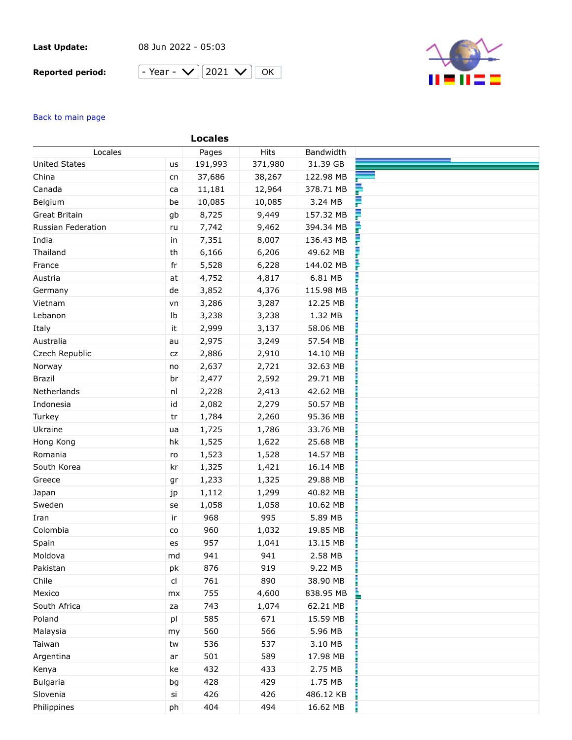## **Last Update:**

08 Jun 2022 - 05:03

## **Reported period:**





## Back to main page

|                      |               | <b>Locales</b> |         |           |  |
|----------------------|---------------|----------------|---------|-----------|--|
| Locales              |               | Pages          | Hits    | Bandwidth |  |
| <b>United States</b> | <b>us</b>     | 191,993        | 371,980 | 31.39 GB  |  |
| China                | cn            | 37,686         | 38,267  | 122.98 MB |  |
| Canada               | ca            | 11,181         | 12,964  | 378.71 MB |  |
| Belgium              | be            | 10,085         | 10,085  | 3.24 MB   |  |
| Great Britain        | gb            | 8,725          | 9,449   | 157.32 MB |  |
| Russian Federation   | ru            | 7,742          | 9,462   | 394.34 MB |  |
| India                | in            | 7,351          | 8,007   | 136.43 MB |  |
| Thailand             | th            | 6,166          | 6,206   | 49.62 MB  |  |
| France               | fr            | 5,528          | 6,228   | 144.02 MB |  |
| Austria              | at            | 4,752          | 4,817   | 6.81 MB   |  |
| Germany              | de            | 3,852          | 4,376   | 115.98 MB |  |
| Vietnam              | vn            | 3,286          | 3,287   | 12.25 MB  |  |
| Lebanon              | Ib            | 3,238          | 3,238   | 1.32 MB   |  |
| Italy                | it            | 2,999          | 3,137   | 58.06 MB  |  |
| Australia            | au            | 2,975          | 3,249   | 57.54 MB  |  |
| Czech Republic       | CZ            | 2,886          | 2,910   | 14.10 MB  |  |
| Norway               | no            | 2,637          | 2,721   | 32.63 MB  |  |
| <b>Brazil</b>        | br            | 2,477          | 2,592   | 29.71 MB  |  |
| Netherlands          | nl            | 2,228          | 2,413   | 42.62 MB  |  |
| Indonesia            | id            | 2,082          | 2,279   | 50.57 MB  |  |
| Turkey               | tr            | 1,784          | 2,260   | 95.36 MB  |  |
| Ukraine              | ua            | 1,725          | 1,786   | 33.76 MB  |  |
| Hong Kong            | hk            | 1,525          | 1,622   | 25.68 MB  |  |
| Romania              | ro            | 1,523          | 1,528   | 14.57 MB  |  |
| South Korea          | kr            | 1,325          | 1,421   | 16.14 MB  |  |
| Greece               | gr            | 1,233          | 1,325   | 29.88 MB  |  |
| Japan                | jp            | 1,112          | 1,299   | 40.82 MB  |  |
| Sweden               | se            | 1,058          | 1,058   | 10.62 MB  |  |
| Iran                 | ir            | 968            | 995     | 5.89 MB   |  |
| Colombia             | co            | 960            | 1,032   | 19.85 MB  |  |
| Spain                | es            | 957            | 1,041   | 13.15 MB  |  |
| Moldova              | md            | 941            | 941     | 2.58 MB   |  |
| Pakistan             | pk            | 876            | 919     | 9.22 MB   |  |
| Chile                | $\mathsf{cl}$ | 761            | 890     | 38.90 MB  |  |
| Mexico               | mx            | 755            | 4,600   | 838.95 MB |  |
| South Africa         | za            | 743            | 1,074   | 62.21 MB  |  |
| Poland               | pl            | 585            | 671     | 15.59 MB  |  |
| Malaysia             | my            | 560            | 566     | 5.96 MB   |  |
| Taiwan               | tw            | 536            | 537     | 3.10 MB   |  |
| Argentina            | ar            | 501            | 589     | 17.98 MB  |  |
| Kenya                | ke            | 432            | 433     | 2.75 MB   |  |
| <b>Bulgaria</b>      | bg            | 428            | 429     | 1.75 MB   |  |
| Slovenia             | si            | 426            | 426     | 486.12 KB |  |
| Philippines          | ph            | 404            | 494     | 16.62 MB  |  |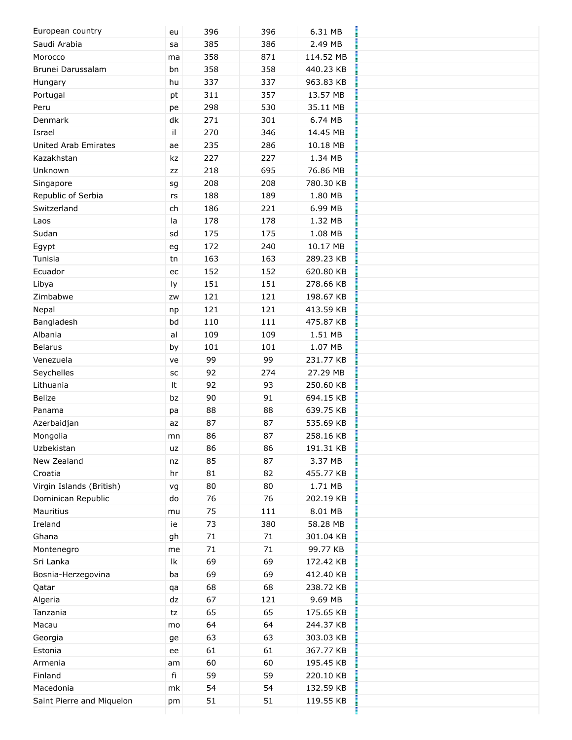| European country            | eu                         | 396  | 396  | 6.31 MB   |  |
|-----------------------------|----------------------------|------|------|-----------|--|
| Saudi Arabia                | sa                         | 385  | 386  | 2.49 MB   |  |
| Morocco                     | ma                         | 358  | 871  | 114.52 MB |  |
| Brunei Darussalam           | bn                         | 358  | 358  | 440.23 KB |  |
| Hungary                     | hu                         | 337  | 337  | 963.83 KB |  |
| Portugal                    | pt                         | 311  | 357  | 13.57 MB  |  |
| Peru                        | pe                         | 298  | 530  | 35.11 MB  |  |
| Denmark                     | dk                         | 271  | 301  | 6.74 MB   |  |
| Israel                      | il.                        | 270  | 346  | 14.45 MB  |  |
| <b>United Arab Emirates</b> | ae                         | 235  | 286  | 10.18 MB  |  |
| Kazakhstan                  | kz                         | 227  | 227  | 1.34 MB   |  |
| Unknown                     | ZZ                         | 218  | 695  | 76.86 MB  |  |
| Singapore                   | sg                         | 208  | 208  | 780.30 KB |  |
| Republic of Serbia          | rs                         | 188  | 189  | 1.80 MB   |  |
| Switzerland                 | ch                         | 186  | 221  | 6.99 MB   |  |
| Laos                        | la                         | 178  | 178  | 1.32 MB   |  |
| Sudan                       | sd                         | 175  | 175  | 1.08 MB   |  |
| Egypt                       | eg                         | 172  | 240  | 10.17 MB  |  |
| Tunisia                     | tn                         | 163  | 163  | 289.23 KB |  |
| Ecuador                     | ec                         | 152  | 152  | 620.80 KB |  |
| Libya                       | ly                         | 151  | 151  | 278.66 KB |  |
| Zimbabwe                    | ZW                         | 121  | 121  | 198.67 KB |  |
| Nepal                       |                            | 121  | 121  | 413.59 KB |  |
| Bangladesh                  | np<br>bd                   | 110  | 111  | 475.87 KB |  |
| Albania                     | al                         | 109  | 109  | 1.51 MB   |  |
|                             |                            |      |      |           |  |
| <b>Belarus</b>              | by                         | 101  | 101  | 1.07 MB   |  |
| Venezuela                   | ve                         | 99   | 99   | 231.77 KB |  |
| Seychelles                  | SC                         | 92   | 274  | 27.29 MB  |  |
| Lithuania                   | It                         | 92   | 93   | 250.60 KB |  |
| <b>Belize</b>               | bz                         | 90   | 91   | 694.15 KB |  |
| Panama                      | pa                         | 88   | 88   | 639.75 KB |  |
| Azerbaidjan                 | az                         | 87   | 87   | 535.69 KB |  |
| Mongolia                    | mn                         | 86   | 87   | 258.16 KB |  |
| Uzbekistan                  | uz                         | 86   | 86   | 191.31 KB |  |
| New Zealand                 | nz                         | 85   | 87   | 3.37 MB   |  |
| Croatia                     | hr                         | 81   | 82   | 455.77 KB |  |
| Virgin Islands (British)    | vg                         | 80   | 80   | 1.71 MB   |  |
| Dominican Republic          | do                         | 76   | 76   | 202.19 KB |  |
| Mauritius                   | mu                         | 75   | 111  | 8.01 MB   |  |
| Ireland                     | ie                         | 73   | 380  | 58.28 MB  |  |
| Ghana                       | gh                         | $71$ | $71$ | 301.04 KB |  |
| Montenegro                  | me                         | 71   | 71   | 99.77 KB  |  |
| Sri Lanka                   | $\ensuremath{\mathsf{lk}}$ | 69   | 69   | 172.42 KB |  |
| Bosnia-Herzegovina          | ba                         | 69   | 69   | 412.40 KB |  |
| Qatar                       | qa                         | 68   | 68   | 238.72 KB |  |
| Algeria                     | dz                         | 67   | 121  | 9.69 MB   |  |
| Tanzania                    | tz                         | 65   | 65   | 175.65 KB |  |
| Macau                       | mo                         | 64   | 64   | 244.37 KB |  |
| Georgia                     | ge                         | 63   | 63   | 303.03 KB |  |
| Estonia                     | ee                         | 61   | 61   | 367.77 KB |  |
| Armenia                     | am                         | 60   | 60   | 195.45 KB |  |
| Finland                     | fi                         | 59   | 59   | 220.10 KB |  |
| Macedonia                   | mk                         | 54   | 54   | 132.59 KB |  |
| Saint Pierre and Miquelon   | pm                         | 51   | 51   | 119.55 KB |  |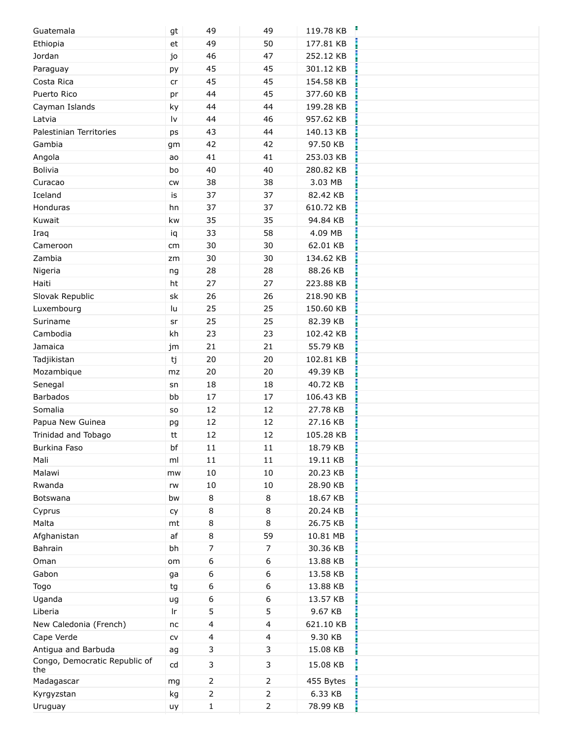| Guatemala                     | gt                     | 49             | 49             | 119.78 KB |  |
|-------------------------------|------------------------|----------------|----------------|-----------|--|
| Ethiopia                      | et                     | 49             | 50             | 177.81 KB |  |
| Jordan                        | jo                     | 46             | 47             | 252.12 KB |  |
| Paraguay                      | ру                     | 45             | 45             | 301.12 KB |  |
| Costa Rica                    | cr                     | 45             | 45             | 154.58 KB |  |
| Puerto Rico                   | pr                     | 44             | 45             | 377.60 KB |  |
| Cayman Islands                | ky                     | 44             | 44             | 199.28 KB |  |
| Latvia                        | $\mathsf{I}\mathsf{v}$ | 44             | 46             | 957.62 KB |  |
| Palestinian Territories       | ps                     | 43             | 44             | 140.13 KB |  |
| Gambia                        | gm                     | 42             | 42             | 97.50 KB  |  |
| Angola                        | ao                     | 41             | 41             | 253.03 KB |  |
| Bolivia                       | bo                     | 40             | 40             | 280.82 KB |  |
| Curacao                       | CW                     | 38             | 38             | 3.03 MB   |  |
| Iceland                       | is                     | 37             | 37             | 82.42 KB  |  |
| Honduras                      | hn                     | 37             | 37             | 610.72 KB |  |
| Kuwait                        | kw                     | 35             | 35             | 94.84 KB  |  |
| Iraq                          | iq                     | 33             | 58             | 4.09 MB   |  |
| Cameroon                      | cm                     | 30             | 30             | 62.01 KB  |  |
| Zambia                        | zm                     | 30             | 30             | 134.62 KB |  |
| Nigeria                       | ng                     | 28             | 28             | 88.26 KB  |  |
| Haiti                         | ht                     | 27             | 27             | 223.88 KB |  |
| Slovak Republic               | sk                     | 26             | 26             | 218.90 KB |  |
| Luxembourg                    | lu                     | 25             | 25             | 150.60 KB |  |
| Suriname                      | sr                     | 25             | 25             | 82.39 KB  |  |
| Cambodia                      | kh                     | 23             | 23             | 102.42 KB |  |
| Jamaica                       | jm                     | 21             | 21             | 55.79 KB  |  |
| Tadjikistan                   | tj                     | 20             | 20             | 102.81 KB |  |
| Mozambique                    | mz                     | 20             | 20             | 49.39 KB  |  |
| Senegal                       | sn                     | 18             | 18             | 40.72 KB  |  |
| <b>Barbados</b>               | bb                     | 17             | 17             | 106.43 KB |  |
| Somalia                       | SO                     | 12             | 12             | 27.78 KB  |  |
| Papua New Guinea              | pg                     | 12             | 12             | 27.16 KB  |  |
| Trinidad and Tobago           | tt                     | 12             | 12             | 105.28 KB |  |
| Burkina Faso                  | bf                     | $11\,$         | $11\,$         | 18.79 KB  |  |
| Mali                          | ml                     | 11             | $11\,$         | 19.11 KB  |  |
| Malawi                        | mw                     | $10\,$         | 10             | 20.23 KB  |  |
| Rwanda                        | rw                     | $10\,$         | 10             | 28.90 KB  |  |
| Botswana                      | bw                     | 8              | $\,8\,$        | 18.67 KB  |  |
| Cyprus                        | cy                     | 8              | 8              | 20.24 KB  |  |
| Malta                         | mt                     | 8              | 8              | 26.75 KB  |  |
| Afghanistan                   | af                     | 8              | 59             | 10.81 MB  |  |
| Bahrain                       | bh                     | 7              | $\overline{7}$ | 30.36 KB  |  |
| Oman                          | om                     | 6              | 6              | 13.88 KB  |  |
| Gabon                         | ga                     | 6              | 6              | 13.58 KB  |  |
| Togo                          | tg                     | 6              | 6              | 13.88 KB  |  |
| Uganda                        | ug                     | 6              | 6              | 13.57 KB  |  |
| Liberia                       | Ir                     | 5              | 5              | 9.67 KB   |  |
| New Caledonia (French)        | nc                     | 4              | 4              | 621.10 KB |  |
| Cape Verde                    | ${\sf CV}$             | 4              | 4              | 9.30 KB   |  |
| Antigua and Barbuda           |                        | 3              | 3              | 15.08 KB  |  |
| Congo, Democratic Republic of | ag                     |                |                |           |  |
| the                           | cd                     | 3              | 3              | 15.08 KB  |  |
| Madagascar                    | mg                     | 2              | 2              | 455 Bytes |  |
| Kyrgyzstan                    | kg                     | $\overline{2}$ | 2              | 6.33 KB   |  |
| Uruguay                       | uy                     | $\mathbf{1}$   | 2              | 78.99 KB  |  |